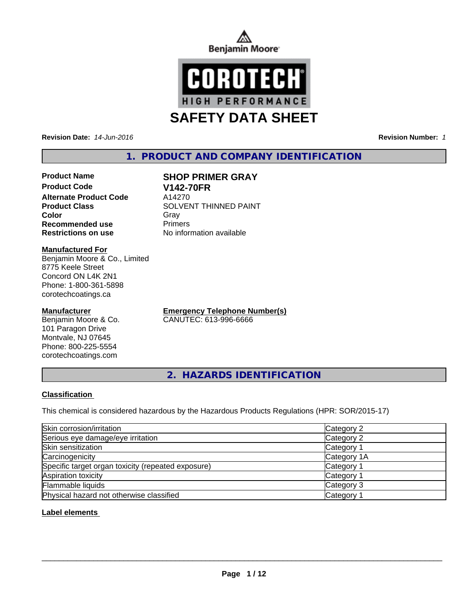



**Revision Date:** *14-Jun-2016* **Revision Number:** *1*

# **1. PRODUCT AND COMPANY IDENTIFICATION**

**Product Name SHOP PRIMER GRAY Product Code V142-70FR Alternate Product Code** A14270<br>**Product Class** SOLVEI **Recommended use** Primers **Restrictions on use** No information available

**SOLVENT THINNED PAINT Color** Gray Gray

#### **Manufactured For**

Benjamin Moore & Co., Limited 8775 Keele Street Concord ON L4K 2N1 Phone: 1-800-361-5898 corotechcoatings.ca

## **Manufacturer**

Benjamin Moore & Co. 101 Paragon Drive Montvale, NJ 07645 Phone: 800-225-5554 corotechcoatings.com

**Emergency Telephone Number(s)** CANUTEC: 613-996-6666

**2. HAZARDS IDENTIFICATION**

# **Classification**

This chemical is considered hazardous by the Hazardous Products Regulations (HPR: SOR/2015-17)

| Skin corrosion/irritation                          | Category 2            |
|----------------------------------------------------|-----------------------|
| Serious eye damage/eye irritation                  | Category 2            |
| Skin sensitization                                 | Category 1            |
| Carcinogenicity                                    | Category 1A           |
| Specific target organ toxicity (repeated exposure) | Category 1            |
| Aspiration toxicity                                | Category 1            |
| Flammable liquids                                  | Category 3            |
| Physical hazard not otherwise classified           | Category <sup>2</sup> |

## **Label elements**

 $\overline{\phantom{a}}$  ,  $\overline{\phantom{a}}$  ,  $\overline{\phantom{a}}$  ,  $\overline{\phantom{a}}$  ,  $\overline{\phantom{a}}$  ,  $\overline{\phantom{a}}$  ,  $\overline{\phantom{a}}$  ,  $\overline{\phantom{a}}$  ,  $\overline{\phantom{a}}$  ,  $\overline{\phantom{a}}$  ,  $\overline{\phantom{a}}$  ,  $\overline{\phantom{a}}$  ,  $\overline{\phantom{a}}$  ,  $\overline{\phantom{a}}$  ,  $\overline{\phantom{a}}$  ,  $\overline{\phantom{a}}$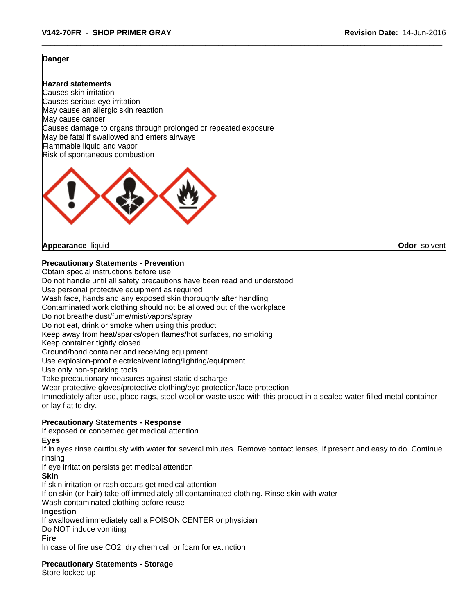#### **Danger**

**Hazard statements** Causes skin irritation Causes serious eye irritation May cause an allergic skin reaction May cause cancer Causes damage to organs through prolonged or repeated exposure May be fatal if swallowed and enters airways Flammable liquid and vapor Risk of spontaneous combustion



**Appearance** liquid **Odor** solvent

**Precautionary Statements - Prevention**

Obtain special instructions before use

Do not handle until all safety precautions have been read and understood

Use personal protective equipment as required

Wash face, hands and any exposed skin thoroughly after handling

Contaminated work clothing should not be allowed out of the workplace

Do not breathe dust/fume/mist/vapors/spray

Do not eat, drink or smoke when using this product

Keep away from heat/sparks/open flames/hot surfaces, no smoking

Keep container tightly closed

Ground/bond container and receiving equipment

Use explosion-proof electrical/ventilating/lighting/equipment

Use only non-sparking tools

Take precautionary measures against static discharge

Wear protective gloves/protective clothing/eye protection/face protection

Immediately after use, place rags, steel wool or waste used with this product in a sealed water-filled metal container or lay flat to dry.

## **Precautionary Statements - Response**

If exposed or concerned get medical attention

**Eyes**

If in eyes rinse cautiously with water for several minutes. Remove contact lenses, if present and easy to do. Continue rinsing

If eye irritation persists get medical attention

**Skin**

If skin irritation or rash occurs get medical attention

If on skin (or hair) take off immediately all contaminated clothing. Rinse skin with water

Wash contaminated clothing before reuse

## **Ingestion**

If swallowed immediately call a POISON CENTER or physician

Do NOT induce vomiting

#### **Fire**

In case of fire use CO2, dry chemical, or foam for extinction

**Precautionary Statements - Storage**

Store locked up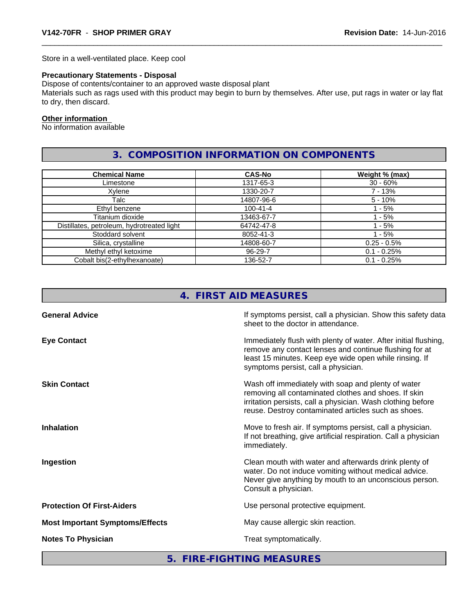Store in a well-ventilated place. Keep cool

# **Precautionary Statements - Disposal**

Dispose of contents/container to an approved waste disposal plant

Materials such as rags used with this product may begin to burn by themselves. After use, put rags in water or lay flat to dry, then discard.

#### **Other information**

No information available

# **3. COMPOSITION INFORMATION ON COMPONENTS**

| <b>Chemical Name</b>                       | <b>CAS-No</b>  | Weight % (max) |
|--------------------------------------------|----------------|----------------|
| Limestone                                  | 1317-65-3      | $30 - 60%$     |
| Xylene                                     | 1330-20-7      | 7 - 13%        |
| Talc                                       | 14807-96-6     | $5 - 10%$      |
| Ethyl benzene                              | $100 - 41 - 4$ | ' - 5%         |
| Titanium dioxide                           | 13463-67-7     | $-5%$          |
| Distillates, petroleum, hydrotreated light | 64742-47-8     | $-5\%$         |
| Stoddard solvent                           | 8052-41-3      | l - 5%         |
| Silica, crystalline                        | 14808-60-7     | $0.25 - 0.5%$  |
| Methyl ethyl ketoxime                      | 96-29-7        | $0.1 - 0.25%$  |
| Cobalt bis(2-ethylhexanoate)               | 136-52-7       | $0.1 - 0.25%$  |

| 4. FIRST AID MEASURES                                                                                                                                                                                                            |
|----------------------------------------------------------------------------------------------------------------------------------------------------------------------------------------------------------------------------------|
| If symptoms persist, call a physician. Show this safety data<br>sheet to the doctor in attendance.                                                                                                                               |
| Immediately flush with plenty of water. After initial flushing,<br>remove any contact lenses and continue flushing for at<br>least 15 minutes. Keep eye wide open while rinsing. If<br>symptoms persist, call a physician.       |
| Wash off immediately with soap and plenty of water<br>removing all contaminated clothes and shoes. If skin<br>irritation persists, call a physician. Wash clothing before<br>reuse. Destroy contaminated articles such as shoes. |
| Move to fresh air. If symptoms persist, call a physician.<br>If not breathing, give artificial respiration. Call a physician<br>immediately.                                                                                     |
| Clean mouth with water and afterwards drink plenty of<br>water. Do not induce vomiting without medical advice.<br>Never give anything by mouth to an unconscious person.<br>Consult a physician.                                 |
| Use personal protective equipment.                                                                                                                                                                                               |
| May cause allergic skin reaction.                                                                                                                                                                                                |
| Treat symptomatically.                                                                                                                                                                                                           |
|                                                                                                                                                                                                                                  |

**5. FIRE-FIGHTING MEASURES**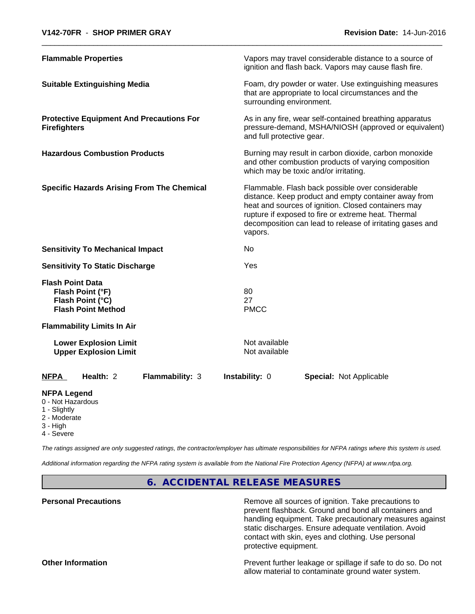| <b>Flammable Properties</b>                                                                                                       |                 |                                | Vapors may travel considerable distance to a source of<br>ignition and flash back. Vapors may cause flash fire.                                                                                                                                                                     |
|-----------------------------------------------------------------------------------------------------------------------------------|-----------------|--------------------------------|-------------------------------------------------------------------------------------------------------------------------------------------------------------------------------------------------------------------------------------------------------------------------------------|
| <b>Suitable Extinguishing Media</b>                                                                                               |                 | surrounding environment.       | Foam, dry powder or water. Use extinguishing measures<br>that are appropriate to local circumstances and the                                                                                                                                                                        |
| <b>Protective Equipment And Precautions For</b><br><b>Firefighters</b>                                                            |                 | and full protective gear.      | As in any fire, wear self-contained breathing apparatus<br>pressure-demand, MSHA/NIOSH (approved or equivalent)                                                                                                                                                                     |
| <b>Hazardous Combustion Products</b>                                                                                              |                 |                                | Burning may result in carbon dioxide, carbon monoxide<br>and other combustion products of varying composition<br>which may be toxic and/or irritating.                                                                                                                              |
| <b>Specific Hazards Arising From The Chemical</b>                                                                                 |                 | vapors.                        | Flammable. Flash back possible over considerable<br>distance. Keep product and empty container away from<br>heat and sources of ignition. Closed containers may<br>rupture if exposed to fire or extreme heat. Thermal<br>decomposition can lead to release of irritating gases and |
| <b>Sensitivity To Mechanical Impact</b>                                                                                           |                 | No                             |                                                                                                                                                                                                                                                                                     |
| <b>Sensitivity To Static Discharge</b>                                                                                            |                 | Yes                            |                                                                                                                                                                                                                                                                                     |
| <b>Flash Point Data</b><br>Flash Point (°F)<br>Flash Point (°C)<br><b>Flash Point Method</b><br><b>Flammability Limits In Air</b> |                 | 80<br>27<br><b>PMCC</b>        |                                                                                                                                                                                                                                                                                     |
| <b>Lower Explosion Limit</b><br><b>Upper Explosion Limit</b>                                                                      |                 | Not available<br>Not available |                                                                                                                                                                                                                                                                                     |
| Health: 2<br><b>NFPA</b>                                                                                                          | Flammability: 3 | Instability: 0                 | Special: Not Applicable                                                                                                                                                                                                                                                             |
|                                                                                                                                   |                 |                                |                                                                                                                                                                                                                                                                                     |
| <b>NFPA Legend</b><br>0 - Not Hazardous<br>1 - Slightly                                                                           |                 |                                |                                                                                                                                                                                                                                                                                     |

- 2 Moderate
- 3 High
- 4 Severe

*The ratings assigned are only suggested ratings, the contractor/employer has ultimate responsibilities for NFPA ratings where this system is used.*

*Additional information regarding the NFPA rating system is available from the National Fire Protection Agency (NFPA) at www.nfpa.org.*

**6. ACCIDENTAL RELEASE MEASURES**

**Personal Precautions Remove all sources of ignition. Take precautions to** Remove all sources of ignition. Take precautions to prevent flashback. Ground and bond all containers and handling equipment. Take precautionary measures against static discharges. Ensure adequate ventilation. Avoid contact with skin, eyes and clothing. Use personal protective equipment.

**Other Information Determined Information** Prevent further leakage or spillage if safe to do so. Do not allow material to contaminate ground water system.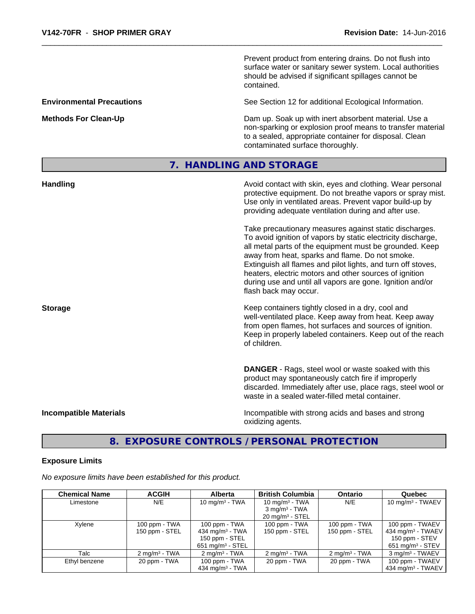Prevent product from entering drains. Do not flush into surface water or sanitary sewer system. Local authorities should be advised if significant spillages cannot be contained.

**Environmental Precautions** See Section 12 for additional Ecological Information.

**Methods For Clean-Up Dam up. Soak up with inert absorbent material. Use a** Dam up. Soak up with inert absorbent material. Use a non-sparking or explosion proof means to transfer material to a sealed, appropriate container for disposal. Clean contaminated surface thoroughly.

# **7. HANDLING AND STORAGE**

| <b>Handling</b>               | Avoid contact with skin, eyes and clothing. Wear personal<br>protective equipment. Do not breathe vapors or spray mist.<br>Use only in ventilated areas. Prevent vapor build-up by<br>providing adequate ventilation during and after use.                                                                                                                                                                                                           |
|-------------------------------|------------------------------------------------------------------------------------------------------------------------------------------------------------------------------------------------------------------------------------------------------------------------------------------------------------------------------------------------------------------------------------------------------------------------------------------------------|
|                               | Take precautionary measures against static discharges.<br>To avoid ignition of vapors by static electricity discharge,<br>all metal parts of the equipment must be grounded. Keep<br>away from heat, sparks and flame. Do not smoke.<br>Extinguish all flames and pilot lights, and turn off stoves,<br>heaters, electric motors and other sources of ignition<br>during use and until all vapors are gone. Ignition and/or<br>flash back may occur. |
| <b>Storage</b>                | Keep containers tightly closed in a dry, cool and<br>well-ventilated place. Keep away from heat. Keep away<br>from open flames, hot surfaces and sources of ignition.<br>Keep in properly labeled containers. Keep out of the reach<br>of children.                                                                                                                                                                                                  |
|                               | <b>DANGER</b> - Rags, steel wool or waste soaked with this<br>product may spontaneously catch fire if improperly<br>discarded. Immediately after use, place rags, steel wool or<br>waste in a sealed water-filled metal container.                                                                                                                                                                                                                   |
| <b>Incompatible Materials</b> | Incompatible with strong acids and bases and strong<br>oxidizing agents.                                                                                                                                                                                                                                                                                                                                                                             |

# **8. EXPOSURE CONTROLS / PERSONAL PROTECTION**

## **Exposure Limits**

*No exposure limits have been established for this product.*

| <b>Chemical Name</b> | <b>ACGIH</b>             | Alberta                        | <b>British Columbia</b>    | <b>Ontario</b>           | Quebec                          |
|----------------------|--------------------------|--------------------------------|----------------------------|--------------------------|---------------------------------|
| Limestone            | N/E                      | 10 mg/m $3$ - TWA              | 10 mg/m $3$ - TWA          | N/E                      | 10 mg/m $3$ - TWAEV             |
|                      |                          |                                | $3 \text{ mg/m}^3$ - TWA   |                          |                                 |
|                      |                          |                                | $20 \text{ mg/m}^3$ - STEL |                          |                                 |
| Xylene               | 100 ppm - TWA            | $100$ ppm - TWA                | 100 ppm - TWA              | 100 ppm - TWA            | 100 ppm - TWAEV                 |
|                      | 150 ppm - STEL           | 434 mg/m $3 - TWA$             | 150 ppm - STEL             | 150 ppm - STEL           | $434$ mg/m <sup>3</sup> - TWAEV |
|                      |                          | 150 ppm - STEL                 |                            |                          | 150 ppm - STEV                  |
|                      |                          | $651$ mg/m <sup>3</sup> - STEL |                            |                          | $651 \text{ mg/m}^3$ - STEV     |
| Talc                 | $2 \text{ ma/m}^3$ - TWA | $2 \text{ mg/m}^3$ - TWA       | $2 \text{ mg/m}^3$ - TWA   | $2 \text{ mg/m}^3$ - TWA | 3 mg/m <sup>3</sup> - TWAEV     |
| Ethyl benzene        | 20 ppm - TWA             | 100 ppm - TWA                  | 20 ppm - TWA               | 20 ppm - TWA             | 100 ppm - TWAEV                 |
|                      |                          | 434 mg/m <sup>3</sup> - TWA    |                            |                          | 434 mg/m <sup>3</sup> - TWAEV   |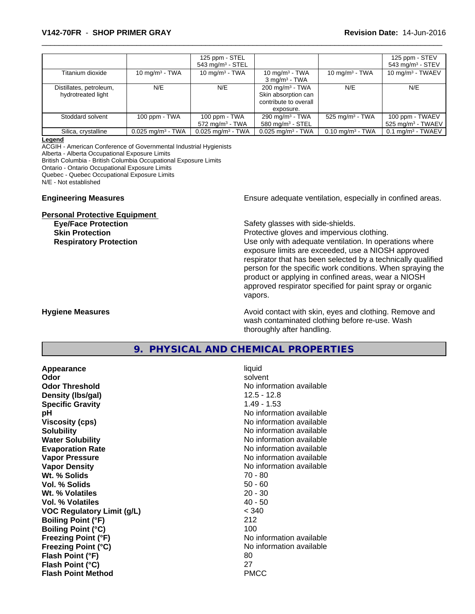## \_\_\_\_\_\_\_\_\_\_\_\_\_\_\_\_\_\_\_\_\_\_\_\_\_\_\_\_\_\_\_\_\_\_\_\_\_\_\_\_\_\_\_\_\_\_\_\_\_\_\_\_\_\_\_\_\_\_\_\_\_\_\_\_\_\_\_\_\_\_\_\_\_\_\_\_\_\_\_\_\_\_\_\_\_\_\_\_\_\_\_\_\_ **V142-70FR** - **SHOP PRIMER GRAY Revision Date:** 14-Jun-2016

|                         |                                 | 125 ppm - STEL                  |                                 |                             | 125 ppm - STEV                  |
|-------------------------|---------------------------------|---------------------------------|---------------------------------|-----------------------------|---------------------------------|
|                         |                                 | 543 mg/m $3 -$ STEL             |                                 |                             | 543 mg/m <sup>3</sup> - STEV    |
| Titanium dioxide        | 10 $mq/m3$ - TWA                | 10 mg/m $3$ - TWA               | 10 mg/m <sup>3</sup> - TWA      | 10 mg/m $3$ - TWA           | 10 mg/m $3$ - TWAEV             |
|                         |                                 |                                 | $3 \text{ mg/m}^3$ - TWA        |                             |                                 |
| Distillates, petroleum, | N/E                             | N/E                             | $200 \text{ mg/m}^3$ - TWA      | N/E                         | N/E                             |
| hydrotreated light      |                                 |                                 | Skin absorption can             |                             |                                 |
|                         |                                 |                                 | contribute to overall           |                             |                                 |
|                         |                                 |                                 | exposure.                       |                             |                                 |
| Stoddard solvent        | 100 ppm - TWA                   | 100 ppm - TWA                   | 290 mg/m <sup>3</sup> - TWA     | 525 mg/m $3$ - TWA          | 100 ppm - TWAEV                 |
|                         |                                 | $572 \text{ mg/m}^3$ - TWA      | 580 mg/m $3 -$ STEL             |                             | $525$ mg/m <sup>3</sup> - TWAEV |
| Silica, crystalline     | $0.025$ mg/m <sup>3</sup> - TWA | $0.025$ mg/m <sup>3</sup> - TWA | $0.025$ mg/m <sup>3</sup> - TWA | $0.10 \text{ mg/m}^3$ - TWA | $0.1$ mg/m <sup>3</sup> - TWAEV |

#### **Legend**

ACGIH - American Conference of Governmental Industrial Hygienists

Alberta - Alberta Occupational Exposure Limits

British Columbia - British Columbia Occupational Exposure Limits

Ontario - Ontario Occupational Exposure Limits

Quebec - Quebec Occupational Exposure Limits

N/E - Not established

#### **Personal Protective Equipment**

**Engineering Measures Ensure** Ensure adequate ventilation, especially in confined areas.

**Eye/Face Protection Eye/Face Protection Safety glasses with side-shields.** 

**Skin Protection Protection Protective gloves and impervious clothing. Respiratory Protection Number 1** (Use only with adequate ventilation. In operations where exposure limits are exceeded, use a NIOSH approved respirator that has been selected by a technically qualified person for the specific work conditions. When spraying the product or applying in confined areas, wear a NIOSH approved respirator specified for paint spray or organic vapors.

**Hygiene Measures Avoid contact with skin, eyes and clothing. Remove and Avoid contact with skin, eyes and clothing. Remove and Avoid contact with skin, eyes and clothing. Remove and** wash contaminated clothing before re-use. Wash thoroughly after handling.

# **9. PHYSICAL AND CHEMICAL PROPERTIES**

| Appearance                        | liquid                   |
|-----------------------------------|--------------------------|
| Odor                              | solvent                  |
| <b>Odor Threshold</b>             | No information available |
| Density (Ibs/gal)                 | $12.5 - 12.8$            |
| <b>Specific Gravity</b>           | $1.49 - 1.53$            |
| рH                                | No information available |
| <b>Viscosity (cps)</b>            | No information available |
| <b>Solubility</b>                 | No information available |
| <b>Water Solubility</b>           | No information available |
| <b>Evaporation Rate</b>           | No information available |
| Vapor Pressure                    | No information available |
| <b>Vapor Density</b>              | No information available |
| Wt. % Solids                      | 70 - 80                  |
| Vol. % Solids                     | $50 - 60$                |
| Wt. % Volatiles                   | $20 - 30$                |
| Vol. % Volatiles                  | $40 - 50$                |
| <b>VOC Regulatory Limit (g/L)</b> | < 340                    |
| <b>Boiling Point (°F)</b>         | 212                      |
| <b>Boiling Point (°C)</b>         | 100                      |
| <b>Freezing Point (°F)</b>        | No information available |
| <b>Freezing Point (°C)</b>        | No information available |
| Flash Point (°F)                  | 80                       |
| Flash Point (°C)                  | 27                       |
| <b>Flash Point Method</b>         | <b>PMCC</b>              |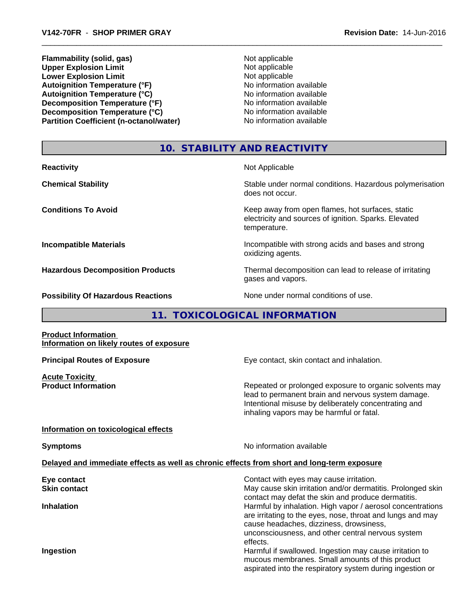**Flammability (solid, gas)** Not applicable **Upper Explosion Limit**<br> **Lower Explosion Limit**<br> **Lower Explosion Limit Lower Explosion Limit**<br> **Autoignition Temperature (°F)**<br> **Autoignition Temperature (°F)**<br> **Autoignition Temperature (°F)**<br> **Autoignition Temperature (°F) Autoignition Temperature (°F)**<br> **Autoignition Temperature (°C)** 
<br> **Autoignition Temperature (°C)** 
<br> **Autoignition Temperature (°C) Autoignition Temperature (°C) Decomposition Temperature (°F)** No information available **Decomposition Temperature (°C)** No information available **Partition Coefficient (n-octanol/water)** No information available

# **10. STABILITY AND REACTIVITY**

**Reactivity** Not Applicable **Chemical Stability Stability** Stable under normal conditions. Hazardous polymerisation does not occur. **Conditions To Avoid Keep away from open flames, hot surfaces, static conditions To Avoid** electricity and sources of ignition. Sparks. Elevated temperature. **Incompatible Materials Incompatible with strong acids and bases and strong** oxidizing agents. **Hazardous Decomposition Products** Thermal decomposition can lead to release of irritating gases and vapors. **Possibility Of Hazardous Reactions** None under normal conditions of use.

# **11. TOXICOLOGICAL INFORMATION**

## **Product Information Information on likely routes of exposure**

**Acute Toxicity**<br>**Product Information** 

**Principal Routes of Exposure Exposure** Eye contact, skin contact and inhalation.

Repeated or prolonged exposure to organic solvents may lead to permanent brain and nervous system damage. Intentional misuse by deliberately concentrating and inhaling vapors may be harmful or fatal.

## **Information on toxicological effects**

**Symptoms** No information available

# **Delayed and immediate effects as well as chronic effects from short and long-term exposure**

| Eye contact         | Contact with eyes may cause irritation.                                                                                                                                                                                              |
|---------------------|--------------------------------------------------------------------------------------------------------------------------------------------------------------------------------------------------------------------------------------|
| <b>Skin contact</b> | May cause skin irritation and/or dermatitis. Prolonged skin<br>contact may defat the skin and produce dermatitis.                                                                                                                    |
| <b>Inhalation</b>   | Harmful by inhalation. High vapor / aerosol concentrations<br>are irritating to the eyes, nose, throat and lungs and may<br>cause headaches, dizziness, drowsiness,<br>unconsciousness, and other central nervous system<br>effects. |
| Ingestion           | Harmful if swallowed. Ingestion may cause irritation to                                                                                                                                                                              |
|                     | mucous membranes. Small amounts of this product<br>aspirated into the respiratory system during ingestion or                                                                                                                         |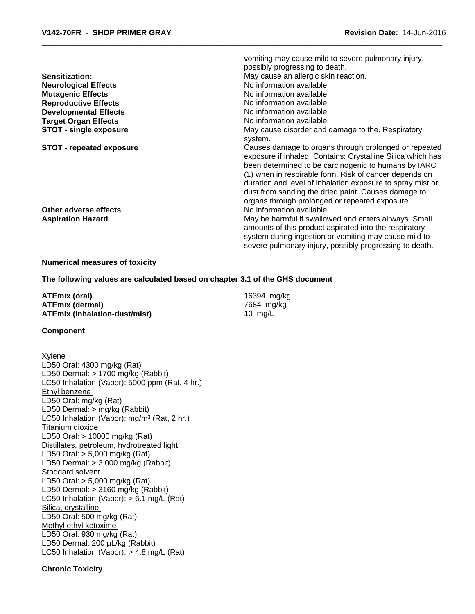|                                 | vomiting may cause mild to severe pulmonary injury,         |
|---------------------------------|-------------------------------------------------------------|
|                                 | possibly progressing to death.                              |
| <b>Sensitization:</b>           | May cause an allergic skin reaction.                        |
| <b>Neurological Effects</b>     | No information available.                                   |
| <b>Mutagenic Effects</b>        | No information available.                                   |
| <b>Reproductive Effects</b>     | No information available.                                   |
| <b>Developmental Effects</b>    | No information available.                                   |
| <b>Target Organ Effects</b>     | No information available.                                   |
| STOT - single exposure          | May cause disorder and damage to the. Respiratory           |
|                                 | system.                                                     |
| <b>STOT - repeated exposure</b> | Causes damage to organs through prolonged or repeated       |
|                                 | exposure if inhaled. Contains: Crystalline Silica which has |
|                                 | been determined to be carcinogenic to humans by IARC        |
|                                 | (1) when in respirable form. Risk of cancer depends on      |
|                                 | duration and level of inhalation exposure to spray mist or  |
|                                 | dust from sanding the dried paint. Causes damage to         |
|                                 | organs through prolonged or repeated exposure.              |
| Other adverse effects           | No information available.                                   |
| <b>Aspiration Hazard</b>        | May be harmful if swallowed and enters airways. Small       |
|                                 | amounts of this product aspirated into the respiratory      |
|                                 | system during ingestion or vomiting may cause mild to       |
|                                 | severe pulmonary injury, possibly progressing to death.     |
|                                 |                                                             |

#### **Numerical measures of toxicity**

**The following values are calculated based on chapter 3.1 of the GHS document**

**ATEmix (oral)** 16394 mg/kg<br> **ATEmix (dermal)** 16394 mg/kg **ATEmix (dermal) ATEmix (inhalation-dust/mist)** 10 mg/L

#### **Component**

Xylene LD50 Oral: 4300 mg/kg (Rat) LD50 Dermal: > 1700 mg/kg (Rabbit) LC50 Inhalation (Vapor): 5000 ppm (Rat, 4 hr.) Ethyl benzene LD50 Oral: mg/kg (Rat) LD50 Dermal: > mg/kg (Rabbit) LC50 Inhalation (Vapor): mg/m<sup>3</sup> (Rat, 2 hr.) Titanium dioxide LD50 Oral: > 10000 mg/kg (Rat) Distillates, petroleum, hydrotreated light LD50 Oral: > 5,000 mg/kg (Rat) LD50 Dermal: > 3,000 mg/kg (Rabbit) Stoddard solvent LD50 Oral: > 5,000 mg/kg (Rat) LD50 Dermal: > 3160 mg/kg (Rabbit) LC50 Inhalation (Vapor): > 6.1 mg/L (Rat) Silica, crystalline LD50 Oral: 500 mg/kg (Rat) Methyl ethyl ketoxime LD50 Oral: 930 mg/kg (Rat) LD50 Dermal: 200 µL/kg (Rabbit) LC50 Inhalation (Vapor): > 4.8 mg/L (Rat)

#### **Chronic Toxicity**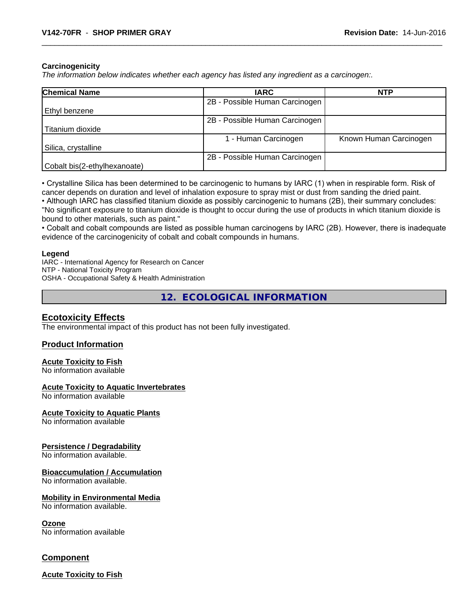#### **Carcinogenicity**

*The information below indicateswhether each agency has listed any ingredient as a carcinogen:.*

| <b>Chemical Name</b>         | <b>IARC</b>                    | <b>NTP</b>             |
|------------------------------|--------------------------------|------------------------|
|                              | 2B - Possible Human Carcinogen |                        |
| Ethyl benzene                |                                |                        |
|                              | 2B - Possible Human Carcinogen |                        |
| Titanium dioxide             |                                |                        |
|                              | 1 - Human Carcinogen           | Known Human Carcinogen |
| Silica, crystalline          |                                |                        |
|                              | 2B - Possible Human Carcinogen |                        |
| Cobalt bis(2-ethylhexanoate) |                                |                        |

• Crystalline Silica has been determined to be carcinogenic to humans by IARC (1) when in respirable form. Risk of cancer depends on duration and level of inhalation exposure to spray mist or dust from sanding the dried paint.

• Although IARC has classified titanium dioxide as possibly carcinogenic to humans (2B), their summary concludes: "No significant exposure to titanium dioxide is thought to occur during the use of products in which titanium dioxide is bound to other materials, such as paint."

• Cobalt and cobalt compounds are listed as possible human carcinogens by IARC (2B). However, there is inadequate evidence of the carcinogenicity of cobalt and cobalt compounds in humans.

#### **Legend**

IARC - International Agency for Research on Cancer NTP - National Toxicity Program OSHA - Occupational Safety & Health Administration

**12. ECOLOGICAL INFORMATION**

## **Ecotoxicity Effects**

The environmental impact of this product has not been fully investigated.

## **Product Information**

#### **Acute Toxicity to Fish**

No information available

#### **Acute Toxicity to Aquatic Invertebrates**

No information available

#### **Acute Toxicity to Aquatic Plants**

No information available

#### **Persistence / Degradability**

No information available.

#### **Bioaccumulation / Accumulation**

No information available.

#### **Mobility in Environmental Media**

No information available.

#### **Ozone**

No information available

## **Component**

**Acute Toxicity to Fish**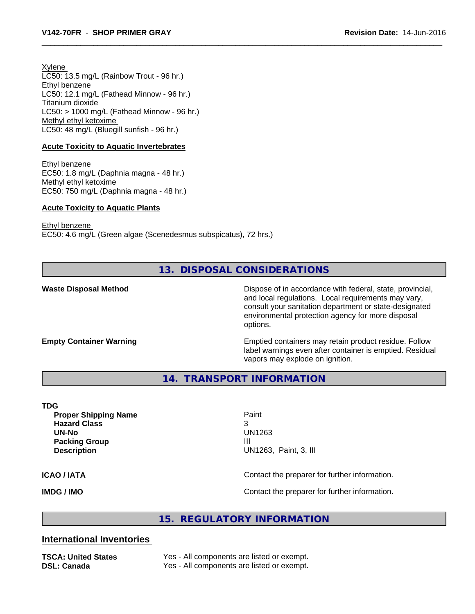Xylene LC50: 13.5 mg/L (Rainbow Trout - 96 hr.) Ethyl benzene LC50: 12.1 mg/L (Fathead Minnow - 96 hr.) Titanium dioxide  $LC50:$  > 1000 mg/L (Fathead Minnow - 96 hr.) Methyl ethyl ketoxime LC50: 48 mg/L (Bluegill sunfish - 96 hr.)

# **Acute Toxicity to Aquatic Invertebrates**

Ethyl benzene EC50: 1.8 mg/L (Daphnia magna - 48 hr.) Methyl ethyl ketoxime EC50: 750 mg/L (Daphnia magna - 48 hr.)

# **Acute Toxicity to Aquatic Plants**

Ethyl benzene

EC50: 4.6 mg/L (Green algae (Scenedesmus subspicatus), 72 hrs.)

**13. DISPOSAL CONSIDERATIONS**

**Waste Disposal Method Dispose of in accordance with federal, state, provincial,** and local regulations. Local requirements may vary, consult your sanitation department or state-designated environmental protection agency for more disposal options.

**Empty Container Warning <b>Emptied** Containers may retain product residue. Follow label warnings even after container is emptied. Residual vapors may explode on ignition.

**14. TRANSPORT INFORMATION**

#### **TDG**

**Proper Shipping Name** Paint **Hazard Class** 3 **UN-No** UN1263 **Packing Group III Description** UN1263, Paint, 3, III

## **ICAO / IATA ICAO / IATA Contact the preparer for further information.**

**IMDG / IMO IMO Contact the preparer for further information.** 

# **15. REGULATORY INFORMATION**

# **International Inventories**

**TSCA: United States** Yes - All components are listed or exempt. **DSL: Canada** Yes - All components are listed or exempt.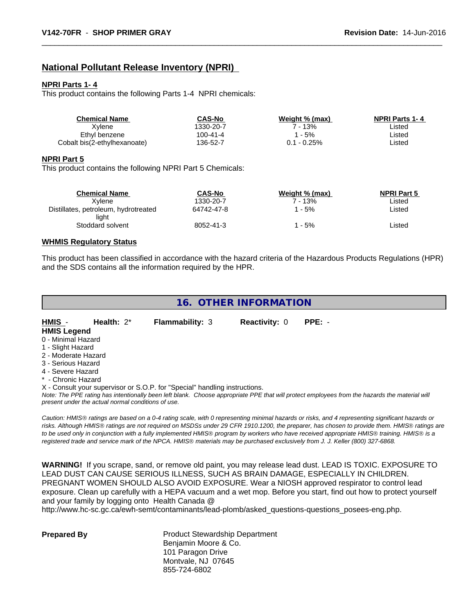# **National Pollutant Release Inventory (NPRI)**

#### **NPRI Parts 1- 4**

This product contains the following Parts 1-4 NPRI chemicals:

| Chemical Name                | CAS-No    | Weight % (max) | <b>NPRI Parts 1-4</b> |  |
|------------------------------|-----------|----------------|-----------------------|--|
| Xvlene                       | 1330-20-7 | 13%            | _isted                |  |
| Ethyl benzene                | 100-41-4  | - 5%           | Listed                |  |
| Cobalt bis(2-ethylhexanoate) | 136-52-7  | 0.1 - 0.25%    | Listed                |  |

#### **NPRI Part 5**

This product contains the following NPRI Part 5 Chemicals:

| <b>Chemical Name</b>                          | <b>CAS-No</b> | Weight % (max) | <b>NPRI Part 5</b> |
|-----------------------------------------------|---------------|----------------|--------------------|
| Xvlene                                        | 1330-20-7     | ' - 13%        | Listed             |
| Distillates, petroleum, hydrotreated<br>liaht | 64742-47-8    | ' - 5%         | ∟isted             |
| Stoddard solvent                              | 8052-41-3     | - 5%           | ∟isted             |

## **WHMIS Regulatory Status**

This product has been classified in accordance with the hazard criteria of the Hazardous Products Regulations (HPR) and the SDS contains all the information required by the HPR.

# **16. OTHER INFORMATION**

| HMIS -              | Health: $2^*$ | <b>Flammability: 3</b> | <b>Reactivity: 0</b> | $PPE: -$ |  |
|---------------------|---------------|------------------------|----------------------|----------|--|
| <b>HMIS Legend</b>  |               |                        |                      |          |  |
| 0 - Minimal Hazard  |               |                        |                      |          |  |
| 1 - Slight Hazard   |               |                        |                      |          |  |
| 2 - Moderate Hazard |               |                        |                      |          |  |
| 3 - Serious Hazard  |               |                        |                      |          |  |
| A Couse Hoperd      |               |                        |                      |          |  |

- 4 Severe Hazard
- \* Chronic Hazard

X - Consult your supervisor or S.O.P. for "Special" handling instructions.

*Note: The PPE rating has intentionally been left blank. Choose appropriate PPE that will protect employees from the hazards the material will present under the actual normal conditions of use.*

*Caution: HMISÒ ratings are based on a 0-4 rating scale, with 0 representing minimal hazards or risks, and 4 representing significant hazards or risks. Although HMISÒ ratings are not required on MSDSs under 29 CFR 1910.1200, the preparer, has chosen to provide them. HMISÒ ratings are to be used only in conjunction with a fully implemented HMISÒ program by workers who have received appropriate HMISÒ training. HMISÒ is a registered trade and service mark of the NPCA. HMISÒ materials may be purchased exclusively from J. J. Keller (800) 327-6868.*

**WARNING!** If you scrape, sand, or remove old paint, you may release lead dust. LEAD IS TOXIC. EXPOSURE TO LEAD DUST CAN CAUSE SERIOUS ILLNESS, SUCH AS BRAIN DAMAGE, ESPECIALLY IN CHILDREN. PREGNANT WOMEN SHOULD ALSO AVOID EXPOSURE.Wear a NIOSH approved respirator to control lead exposure. Clean up carefully with a HEPA vacuum and a wet mop. Before you start, find out how to protect yourself and your family by logging onto Health Canada @

http://www.hc-sc.gc.ca/ewh-semt/contaminants/lead-plomb/asked\_questions-questions\_posees-eng.php.

**Prepared By** Product Stewardship Department Benjamin Moore & Co. 101 Paragon Drive Montvale, NJ 07645 855-724-6802